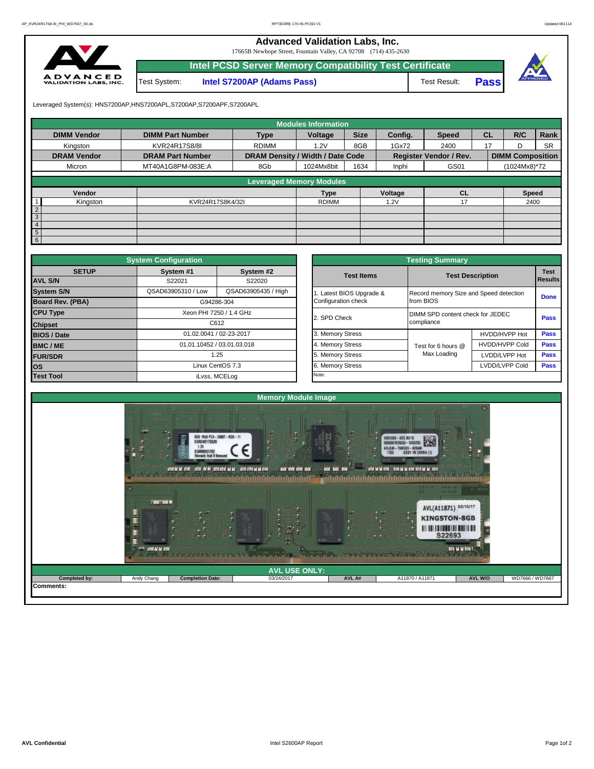**Advanced Validation Labs, Inc.** 

17665B Newhope Street, Fountain Valley, CA 92708 (714) 435-2630



|              | Intel PCSD Server Memory Compatibility Test Certificate |              |             |  |
|--------------|---------------------------------------------------------|--------------|-------------|--|
| Test System: | <b>Intel S7200AP (Adams Pass)</b>                       | Test Result: | <b>Pass</b> |  |

Leveraged System(s): HNS7200AP,HNS7200APL,S7200AP,S7200APF,S7200APL

|                    |                         |                                  | <b>Modules Information</b> |             |         |                        |           |                         |           |
|--------------------|-------------------------|----------------------------------|----------------------------|-------------|---------|------------------------|-----------|-------------------------|-----------|
| <b>DIMM Vendor</b> | <b>DIMM Part Number</b> | <b>Type</b>                      | Voltage                    | <b>Size</b> | Confia. | <b>Speed</b>           | <b>CL</b> | R/C                     | Rank      |
| Kingston           | KVR24R17S8/8I           | <b>RDIMM</b>                     | 1.2V                       | 8GB         | 1Gx72   | 2400                   | 17        | D                       | <b>SR</b> |
| <b>DRAM Vendor</b> | <b>DRAM Part Number</b> | DRAM Density / Width / Date Code |                            |             |         | Register Vendor / Rev. |           | <b>DIMM Composition</b> |           |
| Micron             | MT40A1G8PM-083E:A       | 8Gb                              | 1024Mx8bit                 | 1634        | Inphi   | GS01                   |           | (1024Mx8)*72            |           |
|                    |                         |                                  |                            |             |         |                        |           |                         |           |
|                    |                         | <b>Leveraged Memory Modules</b>  |                            |             |         |                        |           |                         |           |
| Vendor             |                         |                                  | <b>Type</b>                |             | Voltage | <b>CL</b>              |           | <b>Speed</b>            |           |
| Kingston           | KVR24R17S8K4/32I        |                                  | <b>RDIMM</b>               |             | 1.2V    | 17                     |           | 2400                    |           |
| $\overline{2}$     |                         |                                  |                            |             |         |                        |           |                         |           |
| $\mathbf{3}$       |                         |                                  |                            |             |         |                        |           |                         |           |
| $\overline{4}$     |                         |                                  |                            |             |         |                        |           |                         |           |
| 5 <sup>5</sup>     |                         |                                  |                            |             |         |                        |           |                         |           |
| $6 \mid$           |                         |                                  |                            |             |         |                        |           |                         |           |

|                                   | <b>System Configuration</b> |                            |                       | <b>Testing Summary</b>                 |                         |             |  |  |
|-----------------------------------|-----------------------------|----------------------------|-----------------------|----------------------------------------|-------------------------|-------------|--|--|
| <b>SETUP</b>                      | System #1                   | System #2                  | <b>Test Items</b>     |                                        | <b>Test Description</b> | <b>Test</b> |  |  |
| <b>AVL S/N</b>                    | S22021                      | S22020                     |                       |                                        |                         | Results     |  |  |
| <b>System S/N</b>                 | QSAD63905310 / Low          | QSAD63905435 / High        | Latest BIOS Upgrade & | Record memory Size and Speed detection |                         | <b>Done</b> |  |  |
| <b>Board Rev. (PBA)</b>           |                             | G94286-304                 | Configuration check   | from BIOS                              |                         |             |  |  |
|                                   |                             | Xeon PHI 7250 / 1.4 GHz    | 2. SPD Check          | DIMM SPD content check for JEDEC       |                         | Pass        |  |  |
| <b>CPU Type</b><br><b>Chipset</b> |                             | C612                       |                       | compliance                             |                         |             |  |  |
| <b>BIOS / Date</b>                |                             | 01.02.0041 / 02-23-2017    | 3. Memory Stress      |                                        | HVDD/HVPP Hot           | <b>Pass</b> |  |  |
| <b>BMC/ME</b>                     |                             | 01.01.10452 / 03.01.03.018 | 4. Memory Stress      | Test for 6 hours @                     | <b>HVDD/HVPP Cold</b>   | <b>Pass</b> |  |  |
| <b>FUR/SDR</b>                    |                             | 1.25                       | 5. Memory Stress      | Max Loading                            | LVDD/LVPP Hot           | Pass        |  |  |
| Linux CentOS 7.3<br><b>los</b>    |                             | 6. Memory Stress           |                       | LVDD/LVPP Cold                         | Pass                    |             |  |  |
| <b>Test Tool</b>                  |                             | iLvss, MCELog              | Note:                 |                                        |                         |             |  |  |

|              | <b>System Configuration</b> |                            |                       | <b>Testing Summary</b>           |                                        |                |  |  |  |  |
|--------------|-----------------------------|----------------------------|-----------------------|----------------------------------|----------------------------------------|----------------|--|--|--|--|
| <b>SETUP</b> | System #1<br>S22021         | System #2<br>S22020        | <b>Test Items</b>     |                                  | <b>Test Description</b>                | <b>Results</b> |  |  |  |  |
|              | QSAD63905310 / Low          | QSAD63905435 / High        | Latest BIOS Upgrade & |                                  | Record memory Size and Speed detection |                |  |  |  |  |
| PBA)         |                             | G94286-304                 | Configuration check   | from BIOS                        |                                        | <b>Done</b>    |  |  |  |  |
|              |                             | Xeon PHI 7250 / 1.4 GHz    |                       | DIMM SPD content check for JEDEC |                                        |                |  |  |  |  |
|              |                             | C612                       | 2. SPD Check          | compliance                       |                                        | Pass           |  |  |  |  |
|              |                             | 01.02.0041 / 02-23-2017    | 3. Memory Stress      |                                  | HVDD/HVPP Hot                          | Pass           |  |  |  |  |
|              |                             | 01.01.10452 / 03.01.03.018 | 4. Memory Stress      | Test for 6 hours @               | <b>HVDD/HVPP Cold</b>                  |                |  |  |  |  |
|              |                             | 1.25                       | 5. Memory Stress      | Max Loading                      | LVDD/LVPP Hot                          | Pass           |  |  |  |  |
|              |                             | Linux CentOS 7.3           | 6. Memory Stress      |                                  | LVDD/LVPP Cold                         | Pass           |  |  |  |  |
|              |                             | iLvss, MCELog              | Note:                 |                                  |                                        |                |  |  |  |  |

|                  |                                                                                           |                                                                                                                                     | <b>Memory Module Image</b>                                                           |                                         |                                                                                                                                                                                                                                                                     |         |                 |
|------------------|-------------------------------------------------------------------------------------------|-------------------------------------------------------------------------------------------------------------------------------------|--------------------------------------------------------------------------------------|-----------------------------------------|---------------------------------------------------------------------------------------------------------------------------------------------------------------------------------------------------------------------------------------------------------------------|---------|-----------------|
|                  | 17.5<br>1991<br>O(1)<br><b>JER JER N</b><br>覀<br>H<br><b>BJSY</b><br><b>CON AC AC CON</b> | 8GB 1Rx8 PC4-2400T-RD0-11<br><b>DUIN</b><br>KVR24R17S8/8I<br>1.2V<br><b>BSMM0931702</b><br>E.<br>CONTRACTOR CON CONTRACTOR<br>ing a | <b>BEST BEST BE BE BEST</b><br>and will and and<br>ng.<br><b>COON</b><br><b>REAR</b> | and and<br>28.6<br>$\mathbf{S}$<br>日日に月 | m.<br>9965596-023.B01G<br>隧<br>0000007625033-S000250<br>ARJKM-<br>-T9MSOV-8V94M<br>1705<br>BFGJ<br>ASSOCIATES THE MONTH AND RESERVED BY BEEN<br>H2-9 12 94V-8<br>$\frac{1}{2}$<br>AVL(A11871) 03/10/17<br>$-1.75$<br>$\frac{1}{2}$<br><b>KINGSTON-8GB</b><br>S22693 | --      |                 |
|                  |                                                                                           |                                                                                                                                     | <b>AVL USE ONLY:</b>                                                                 |                                         |                                                                                                                                                                                                                                                                     |         |                 |
| Completed by:    | Andy Chang                                                                                | <b>Completion Date:</b>                                                                                                             | 03/24/2017                                                                           | AVL A#                                  | A11870 / A11871                                                                                                                                                                                                                                                     | AVL W/O | WD7666 / WD7667 |
| <b>Comments:</b> |                                                                                           |                                                                                                                                     |                                                                                      |                                         |                                                                                                                                                                                                                                                                     |         |                 |